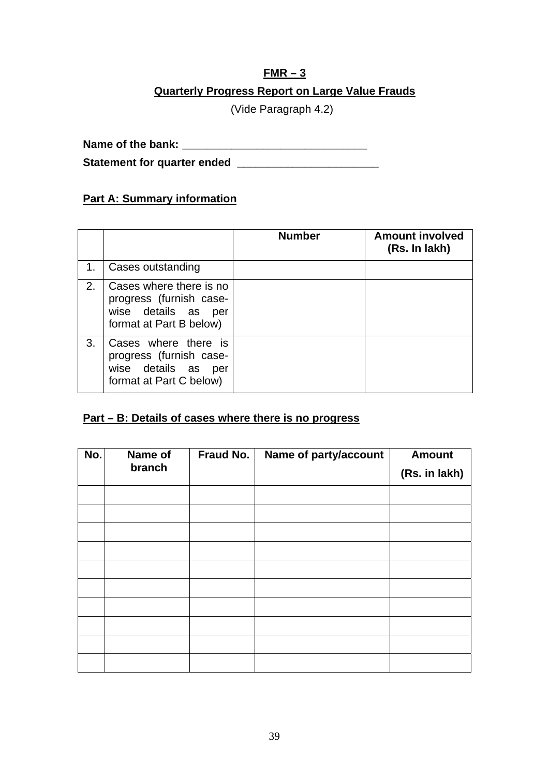## **FMR – 3 Quarterly Progress Report on Large Value Frauds**

(Vide Paragraph 4.2)

**Name of the bank: \_\_\_\_\_\_\_\_\_\_\_\_\_\_\_\_\_\_\_\_\_\_\_\_\_\_\_\_\_\_** 

**Statement for quarter ended \_\_\_\_\_\_\_\_\_\_\_\_\_\_\_\_\_\_\_\_\_\_\_** 

## **Part A: Summary information**

|    |                                                                                                      | <b>Number</b> | <b>Amount involved</b><br>(Rs. In lakh) |
|----|------------------------------------------------------------------------------------------------------|---------------|-----------------------------------------|
| 1. | Cases outstanding                                                                                    |               |                                         |
| 2. | Cases where there is no<br>progress (furnish case-<br>wise details as per<br>format at Part B below) |               |                                         |
| 3. | Cases where there is<br>progress (furnish case-<br>wise details as per<br>format at Part C below)    |               |                                         |

## **Part – B: Details of cases where there is no progress**

| No. | Name of | Fraud No. | Name of party/account | <b>Amount</b> |
|-----|---------|-----------|-----------------------|---------------|
|     | branch  |           |                       | (Rs. in lakh) |
|     |         |           |                       |               |
|     |         |           |                       |               |
|     |         |           |                       |               |
|     |         |           |                       |               |
|     |         |           |                       |               |
|     |         |           |                       |               |
|     |         |           |                       |               |
|     |         |           |                       |               |
|     |         |           |                       |               |
|     |         |           |                       |               |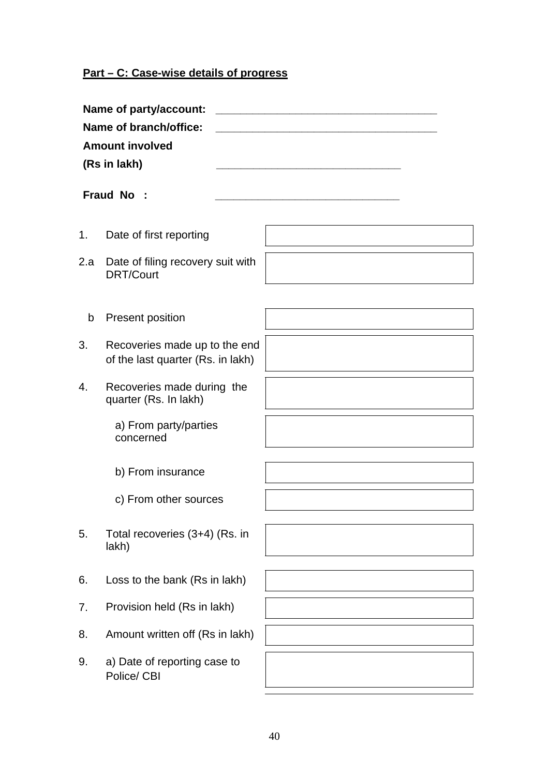## **Part – C: Case-wise details of progress**

|     | Name of party/account:<br>Name of branch/office:<br><b>Amount involved</b><br>(Rs in lakh) |  |
|-----|--------------------------------------------------------------------------------------------|--|
|     | Fraud No :                                                                                 |  |
| 1.  | Date of first reporting                                                                    |  |
| 2.a | Date of filing recovery suit with<br><b>DRT/Court</b>                                      |  |
|     |                                                                                            |  |
| b   | <b>Present position</b>                                                                    |  |
| 3.  | Recoveries made up to the end<br>of the last quarter (Rs. in lakh)                         |  |
| 4.  | Recoveries made during the<br>quarter (Rs. In lakh)                                        |  |
|     | a) From party/parties<br>concerned                                                         |  |
|     | b) From insurance                                                                          |  |
|     | c) From other sources                                                                      |  |
| 5.  | Total recoveries (3+4) (Rs. in<br>lakh)                                                    |  |
| 6.  | Loss to the bank (Rs in lakh)                                                              |  |
|     |                                                                                            |  |
| 7.  | Provision held (Rs in lakh)                                                                |  |
| 8.  | Amount written off (Rs in lakh)                                                            |  |
| 9.  | a) Date of reporting case to<br>Police/ CBI                                                |  |